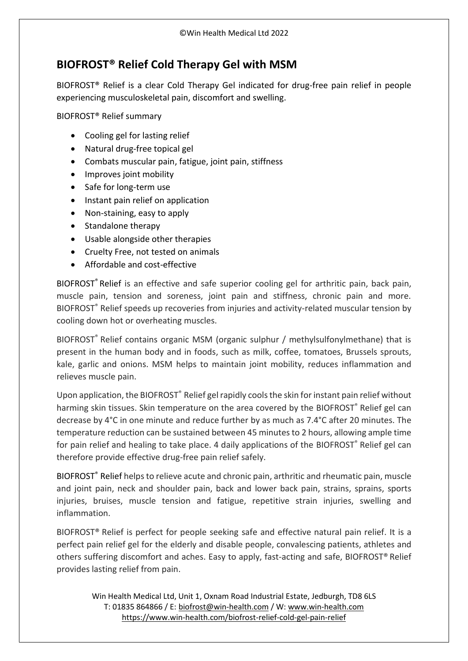## **BIOFROST® Relief Cold Therapy Gel with MSM**

[BIOFROST®](https://www.win-health.com/biofrost-relief-cold-gel-pain-relief) Relief is a clear Cold Therapy Gel indicated for drug-free pain relief in people experiencing musculoskeletal pain, discomfort and swelling.

BIOFROST® Relief summary

- Cooling gel for lasting relief
- Natural drug-free topical gel
- Combats muscular pain, fatigue, joint pain, stiffness
- Improves joint mobility
- Safe for long-term use
- Instant pain relief on application
- Non-staining, easy to apply
- Standalone therapy
- Usable alongside other therapies
- Cruelty Free, not tested on animals
- Affordable and cost-effective

[BIOFROST](https://www.win-health.com/biofrost-relief-cold-gel-pain-relief)<sup>®</sup> Relief is an effective and safe superior cooling gel for arthritic pain, back pain, muscle pain, tension and soreness, joint pain and stiffness, chronic pain and more. BIOFROST® Relief speeds up recoveries from injuries and activity-related muscular tension by cooling down hot or overheating muscles.

BIOFROST ® Relief contains organic MSM (organic sulphur / methylsulfonylmethane) that is present in the human body and in foods, such as milk, coffee, tomatoes, Brussels sprouts, kale, garlic and onions. MSM helps to maintain joint mobility, reduces inflammation and relieves muscle pain.

Upon application, the BIOFROST® Relief gel rapidly cools the skin for instant pain relief without harming skin tissues. Skin temperature on the area covered by the BIOFROST<sup>®</sup> Relief gel can decrease by 4°C in one minute and reduce further by as much as 7.4°C after 20 minutes. The temperature reduction can be sustained between 45 minutes to 2 hours, allowing ample time for pain relief and healing to take place. 4 daily applications of the BIOFROST® Relief gel can therefore provide effective drug-free pain relief safely.

[BIOFROST](https://www.win-health.com/biofrost-relief-cold-gel-pain-relief)<sup>®</sup> Relief helps to relieve acute and chronic pain, arthritic and rheumatic pain, muscle and joint pain, neck and shoulder pain, back and lower back pain, strains, sprains, sports injuries, bruises, muscle tension and fatigue, repetitive strain injuries, swelling and inflammation.

BIOFROST® Relief is perfect for people seeking safe and effective natural pain relief. It is a perfect pain relief gel for the elderly and disable people, convalescing patients, athletes and others suffering discomfort and aches. Easy to apply, fast-acting and safe, BIOFROST® Relief provides lasting relief from pain.

Win Health Medical Ltd, Unit 1, Oxnam Road Industrial Estate, Jedburgh, TD8 6LS T: 01835 864866 / E: [biofrost@win-health.com](mailto:biofrost@win-health.com) / W: [www.win-health.com](http://www.win-health.com/) <https://www.win-health.com/biofrost-relief-cold-gel-pain-relief>